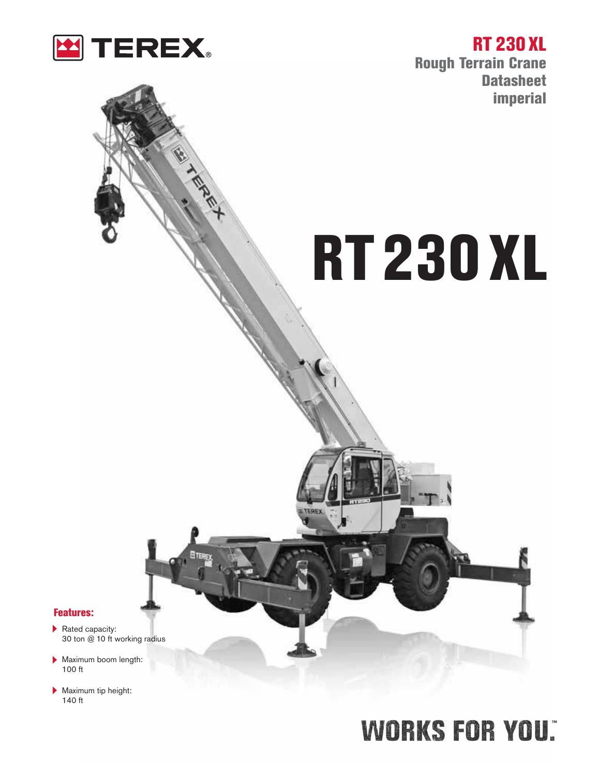

T. S. R. P. L.

**RT 230 XL Rough Terrain Crane Datasheet imperial**

# **RT230 XL**

#### **Features:**

- Rated capacity: 30 ton @ 10 ft working radius
- Maximum boom length: 100 ft
- **Maximum tip height:** 140 ft

# **WORKS FOR YOU.**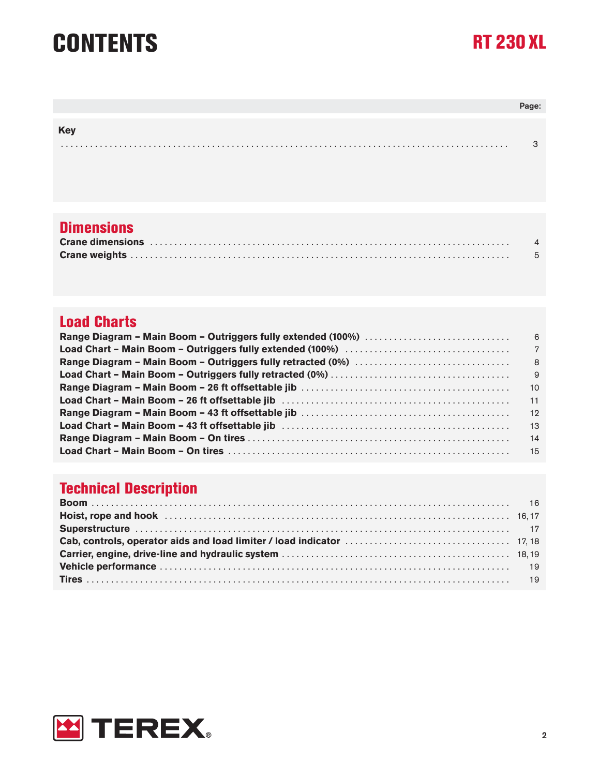# **CONTENTS RT 230 XL**

| <b>Key</b> |   |
|------------|---|
|            | ◠ |

### **Dimensions**

| Crane dimensions in the contract of the contract of the contract of the contract of the contract of the contract of the contract of the contract of the contract of the contract of the contract of the contract of the contra |  |
|--------------------------------------------------------------------------------------------------------------------------------------------------------------------------------------------------------------------------------|--|
|                                                                                                                                                                                                                                |  |

### **Load Charts**

### **Technical Description**

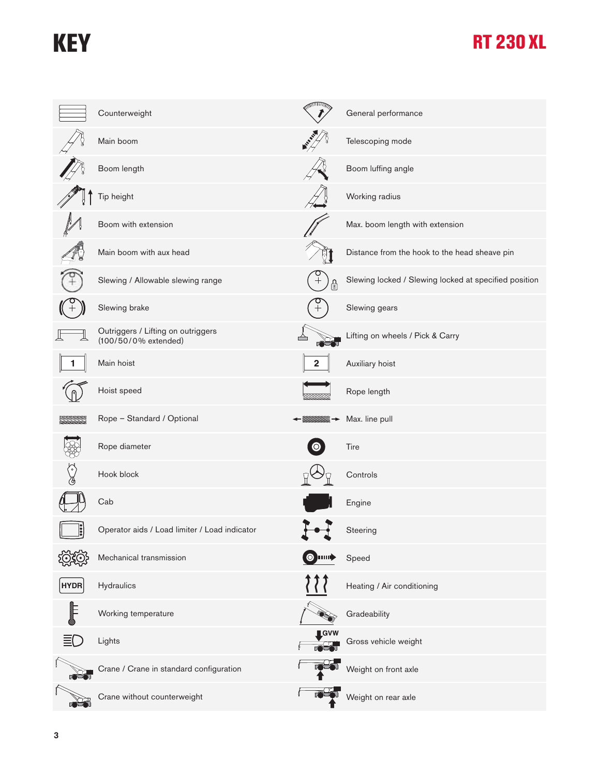## **KEY RT 230 XL**

|               | Counterweight                                              |                    | General performance                                   |
|---------------|------------------------------------------------------------|--------------------|-------------------------------------------------------|
|               | Main boom                                                  | <b>ASSESSED</b>    | Telescoping mode                                      |
|               | Boom length                                                |                    | Boom luffing angle                                    |
|               | Tip height                                                 |                    | Working radius                                        |
|               | Boom with extension                                        |                    | Max. boom length with extension                       |
|               | Main boom with aux head                                    |                    | Distance from the hook to the head sheave pin         |
|               | Slewing / Allowable slewing range                          |                    | Slewing locked / Slewing locked at specified position |
|               | Slewing brake                                              | $\hspace{0.1mm} +$ | Slewing gears                                         |
|               | Outriggers / Lifting on outriggers<br>(100/50/0% extended) |                    | Lifting on wheels / Pick & Carry                      |
|               | Main hoist                                                 |                    | Auxiliary hoist                                       |
|               | Hoist speed                                                |                    | Rope length                                           |
|               | Rope - Standard / Optional                                 |                    | Max. line pull                                        |
|               | Rope diameter                                              |                    | Tire                                                  |
|               | Hook block                                                 |                    | Controls                                              |
|               | Cab                                                        |                    | Engine                                                |
| $\frac{1}{2}$ | Operator aids / Load limiter / Load indicator              |                    | Steering                                              |
|               | Mechanical transmission                                    | $\bullet$<br>ршф   | Speed                                                 |
| <b>HYDR</b>   | Hydraulics                                                 |                    | Heating / Air conditioning                            |
|               | Working temperature                                        |                    | Gradeability                                          |
|               | Lights                                                     | $\blacksquare$ GVW | Gross vehicle weight                                  |
|               | Crane / Crane in standard configuration                    |                    | Weight on front axle                                  |
|               | Crane without counterweight                                |                    | Weight on rear axle                                   |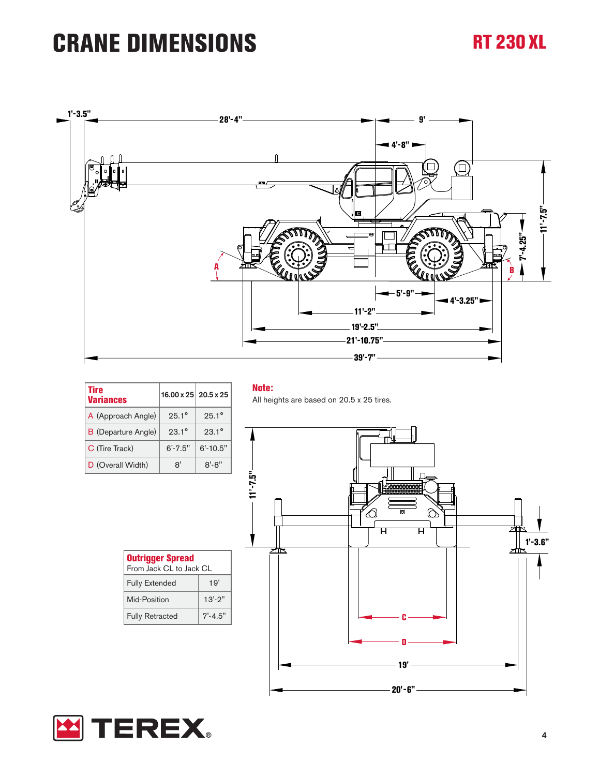# **CRANE DIMENSIONS RT 230 XL**



| <b>Tire</b><br><b>Variances</b> | $16.00 \times 25$ 20.5 x 25 |                |
|---------------------------------|-----------------------------|----------------|
| A (Approach Angle)              | $25.1^{\circ}$              | $25.1^{\circ}$ |
| <b>B</b> (Departure Angle)      | $93.1^{\circ}$              | $23.1^{\circ}$ |
| C (Tire Track)                  | $6' - 7.5''$                | $6' - 10.5"$   |
| D (Overall Width)               | 8'                          | $8' - 8''$     |

#### **Note:**

All heights are based on 20.5 x 25 tires.



| <b>Outrigger Spread</b><br>From Jack CL to Jack CL |              |  |  |  |  |
|----------------------------------------------------|--------------|--|--|--|--|
| <b>Fully Extended</b>                              | 19'          |  |  |  |  |
| Mid-Position                                       | $13' - 2''$  |  |  |  |  |
| <b>Fully Retracted</b>                             | $7' - 4.5''$ |  |  |  |  |
|                                                    |              |  |  |  |  |

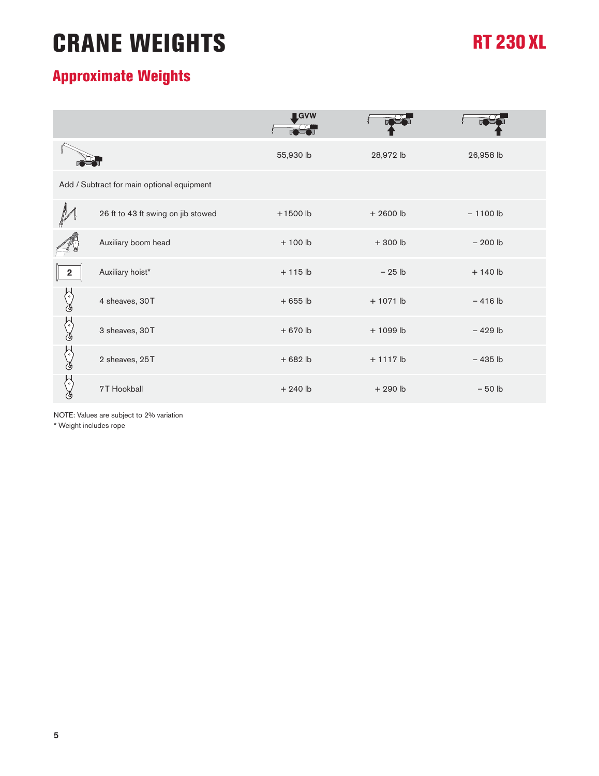# **CRANE WEIGHTS**

### **RT 230 XL**

### **Approximate Weights**

|                         |                                            | <b>IGVW</b> |             |            |
|-------------------------|--------------------------------------------|-------------|-------------|------------|
|                         |                                            | 55,930 lb   | 28,972 lb   | 26,958 lb  |
|                         | Add / Subtract for main optional equipment |             |             |            |
|                         | 26 ft to 43 ft swing on jib stowed         | $+1500$ lb  | $+2600$ lb  | $-1100$ lb |
|                         | Auxiliary boom head                        | $+100$ lb   | $+300$ lb   | $-200$ lb  |
| $\overline{\mathbf{2}}$ | Auxiliary hoist*                           | $+115$ lb   | $-25$ lb    | $+140$ lb  |
| $(\degree)$<br>ැ        | 4 sheaves, 30T                             | $+655$ lb   | $+1071$ lb  | $-416$ lb  |
| ℰ<br>∛                  | 3 sheaves, 30T                             | $+670$ lb   | $+1099$ lb  | $-429$ lb  |
| ℰ<br>ැ                  | 2 sheaves, 25T                             | $+682$ lb   | $+ 1117$ lb | $-435$ lb  |
|                         | 7T Hookball                                | $+240$ lb   | $+290$ lb   | $-50$ lb   |

NOTE: Values are subject to 2% variation

\* Weight includes rope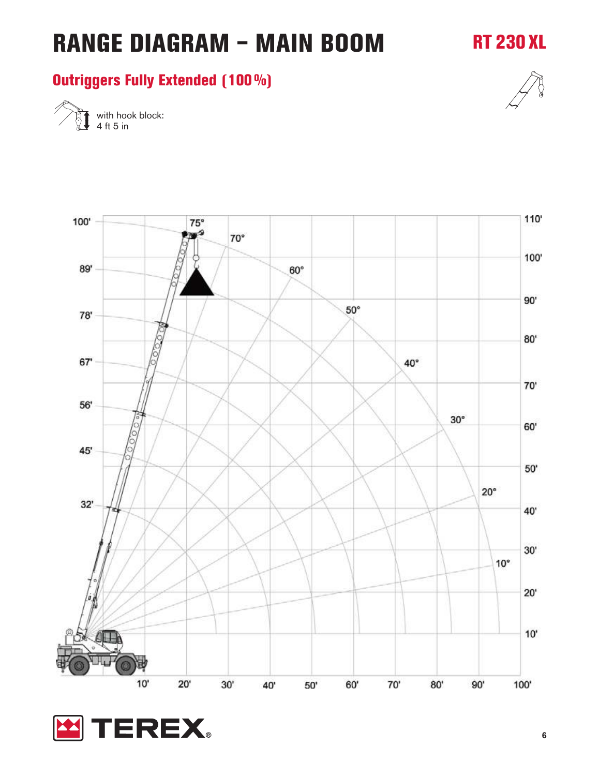### **RT 230 XL**

#### **Outriggers Fully Extended (100%)**



with hook block: 4 ft 5 in

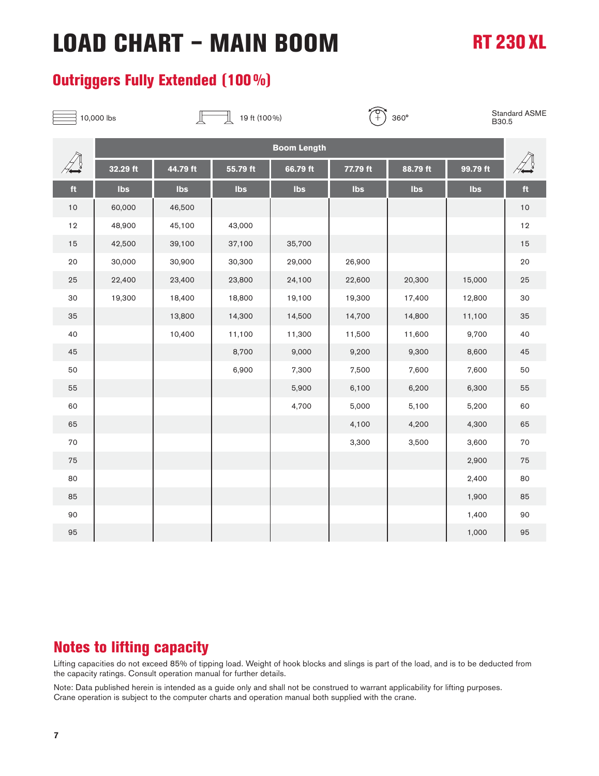# **LOAD CHART – MAIN BOOM RT 230 XL**

#### **Outriggers Fully Extended (100%)**



Standard ASME B30.5

|      | <b>Boom Length</b> |          |            |          |          |          |          |      |
|------|--------------------|----------|------------|----------|----------|----------|----------|------|
|      | 32.29 ft           | 44.79 ft | $55.79$ ft | 66.79 ft | 77.79 ft | 88.79 ft | 99.79 ft |      |
| ft   | Ibs                | Ibs      | Ibs        | Ibs      | Ibs      | Ibs      | Ibs      | ft   |
| $10$ | 60,000             | 46,500   |            |          |          |          |          | $10$ |
| 12   | 48,900             | 45,100   | 43,000     |          |          |          |          | 12   |
| 15   | 42,500             | 39,100   | 37,100     | 35,700   |          |          |          | 15   |
| 20   | 30,000             | 30,900   | 30,300     | 29,000   | 26,900   |          |          | 20   |
| 25   | 22,400             | 23,400   | 23,800     | 24,100   | 22,600   | 20,300   | 15,000   | 25   |
| 30   | 19,300             | 18,400   | 18,800     | 19,100   | 19,300   | 17,400   | 12,800   | 30   |
| 35   |                    | 13,800   | 14,300     | 14,500   | 14,700   | 14,800   | 11,100   | 35   |
| 40   |                    | 10,400   | 11,100     | 11,300   | 11,500   | 11,600   | 9,700    | 40   |
| 45   |                    |          | 8,700      | 9,000    | 9,200    | 9,300    | 8,600    | 45   |
| 50   |                    |          | 6,900      | 7,300    | 7,500    | 7,600    | 7,600    | 50   |
| 55   |                    |          |            | 5,900    | 6,100    | 6,200    | 6,300    | 55   |
| 60   |                    |          |            | 4,700    | 5,000    | 5,100    | 5,200    | 60   |
| 65   |                    |          |            |          | 4,100    | 4,200    | 4,300    | 65   |
| 70   |                    |          |            |          | 3,300    | 3,500    | 3,600    | 70   |
| 75   |                    |          |            |          |          |          | 2,900    | 75   |
| 80   |                    |          |            |          |          |          | 2,400    | 80   |
| 85   |                    |          |            |          |          |          | 1,900    | 85   |
| 90   |                    |          |            |          |          |          | 1,400    | 90   |
| 95   |                    |          |            |          |          |          | 1,000    | 95   |

#### **Notes to lifting capacity**

Lifting capacities do not exceed 85% of tipping load. Weight of hook blocks and slings is part of the load, and is to be deducted from the capacity ratings. Consult operation manual for further details.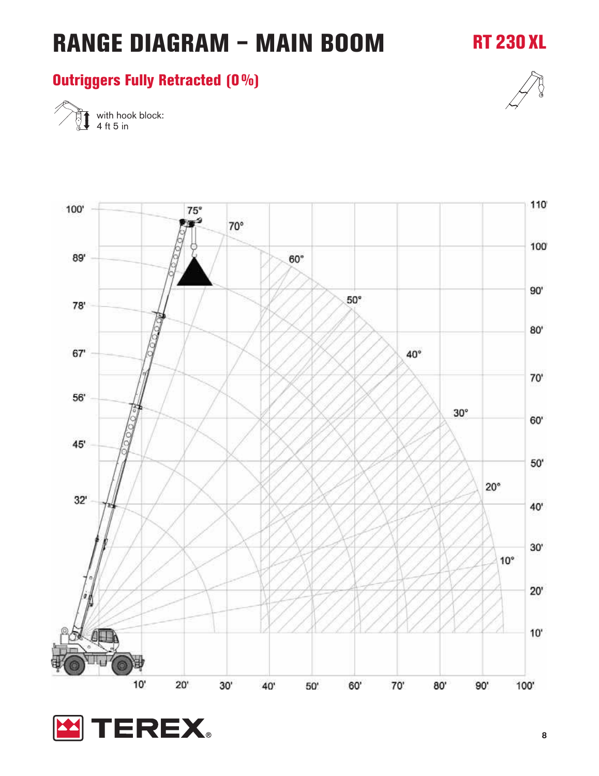### **RT 230 XL**

#### **Outriggers Fully Retracted (0%)**



with hook block: 4 ft 5 in

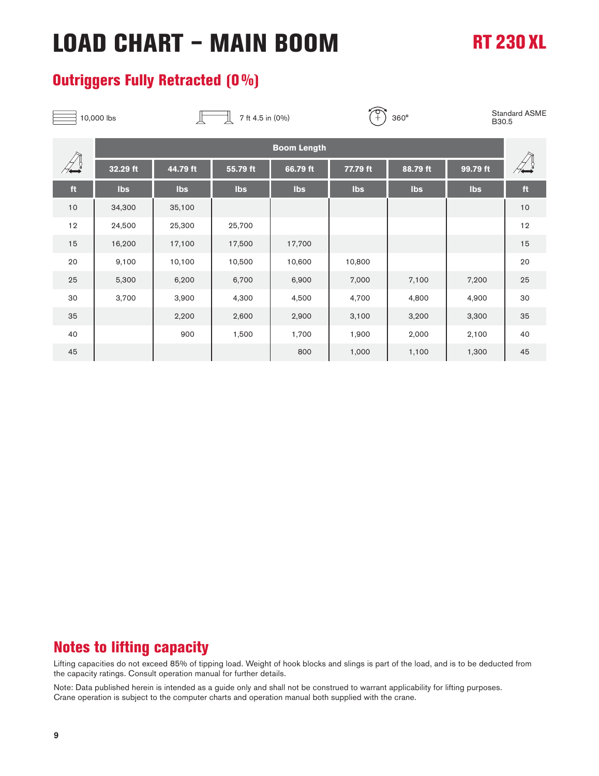# **LOAD CHART – MAIN BOOM RT 230 XL**

#### **Outriggers Fully Retracted (0%)**

| 10,000 lbs |                    | 7 ft 4.5 in (0%) |          |          | ᠊ᡉ<br>$360^\circ$ |          |          | <b>Standard ASME</b><br>B30.5 |
|------------|--------------------|------------------|----------|----------|-------------------|----------|----------|-------------------------------|
|            | <b>Boom Length</b> |                  |          |          |                   |          |          |                               |
|            | 32.29 ft           | 44.79 ft         | 55.79 ft | 66.79 ft | 77.79 ft          | 88.79 ft | 99.79 ft |                               |
| ft         | Ibs                | Ibs              | Ibs      | Ibs      | Ibs               | Ibs      | Ibs      | $\mathop{\mathsf{ft}}$        |
| $10$       | 34,300             | 35,100           |          |          |                   |          |          | 10                            |
| 12         | 24,500             | 25,300           | 25,700   |          |                   |          |          | 12                            |
| 15         | 16,200             | 17,100           | 17,500   | 17,700   |                   |          |          | 15                            |
| 20         | 9,100              | 10,100           | 10,500   | 10,600   | 10,800            |          |          | 20                            |
| 25         | 5,300              | 6,200            | 6,700    | 6,900    | 7,000             | 7,100    | 7,200    | 25                            |
| 30         | 3,700              | 3,900            | 4,300    | 4,500    | 4,700             | 4,800    | 4,900    | 30                            |
| 35         |                    | 2,200            | 2,600    | 2,900    | 3,100             | 3,200    | 3,300    | 35                            |
| 40         |                    | 900              | 1,500    | 1,700    | 1,900             | 2,000    | 2,100    | 40                            |
| 45         |                    |                  |          | 800      | 1,000             | 1,100    | 1,300    | 45                            |

### **Notes to lifting capacity**

Lifting capacities do not exceed 85% of tipping load. Weight of hook blocks and slings is part of the load, and is to be deducted from the capacity ratings. Consult operation manual for further details.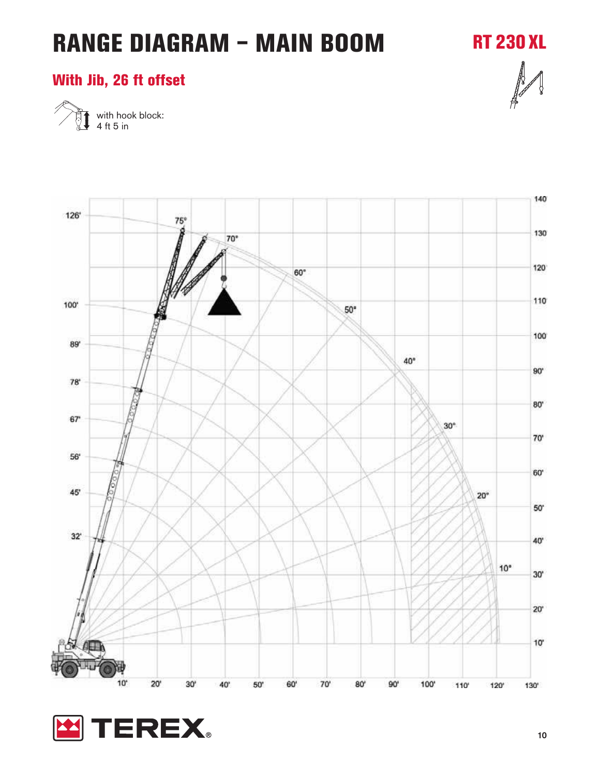**RT 230 XL**

#### **With Jib, 26 ft offset**



with hook block: 4 ft 5 in

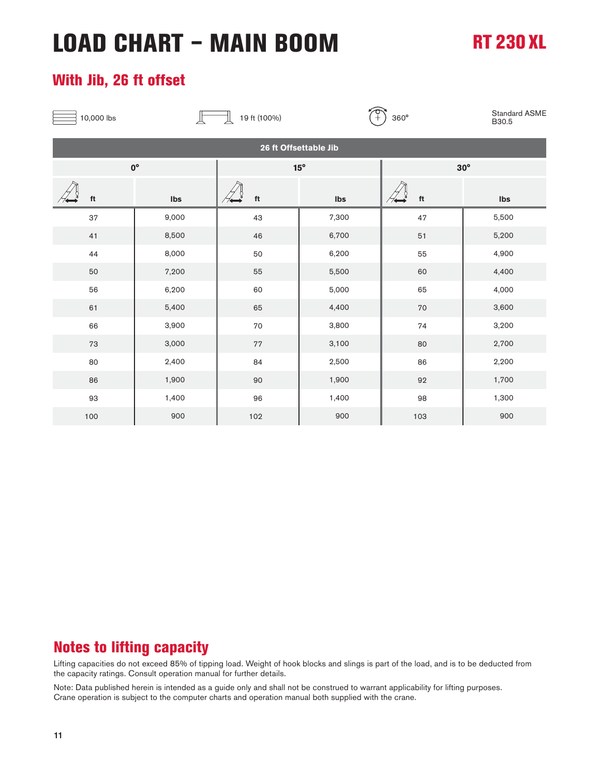# **LOAD CHART – MAIN BOOM RT 230 XL**

#### **With Jib, 26 ft offset**

| 10,000 lbs |                         | 19 ft (100%)            | $\frac{1}{\sqrt{2}}$ | 360°                         | Standard ASME<br>B30.5 |  |  |  |  |
|------------|-------------------------|-------------------------|----------------------|------------------------------|------------------------|--|--|--|--|
|            | 26 ft Offsettable Jib   |                         |                      |                              |                        |  |  |  |  |
|            | $0^{\circ}$             |                         | $15^{\circ}$         |                              | $30^\circ$             |  |  |  |  |
| ft         | $\mathsf{I}\mathsf{bs}$ | $\operatorname{\sf ft}$ | Ibs                  | $\operatorname{\mathsf{ft}}$ | Ibs                    |  |  |  |  |
| 37         | 9,000                   | 43                      | 7,300                | 47                           | 5,500                  |  |  |  |  |
| 41         | 8,500                   | 46                      | 6,700                | $51\,$                       | 5,200                  |  |  |  |  |
| 44         | 8,000                   | 50                      | 6,200                | 55                           | 4,900                  |  |  |  |  |
| 50         | 7,200                   | 55                      | 5,500                | 60                           | 4,400                  |  |  |  |  |
| 56         | 6,200                   | 60                      | 5,000                | 65                           | 4,000                  |  |  |  |  |
| 61         | 5,400                   | 65                      | 4,400                | 70                           | 3,600                  |  |  |  |  |
| 66         | 3,900                   | $70\,$                  | 3,800                | 74                           | 3,200                  |  |  |  |  |
| $73\,$     | 3,000                   | $7\,7$                  | 3,100                | 80                           | 2,700                  |  |  |  |  |
| 80         | 2,400                   | 84                      | 2,500                | 86                           | 2,200                  |  |  |  |  |
| 86         | 1,900                   | $90\,$                  | 1,900                | 92                           | 1,700                  |  |  |  |  |
| 93         | 1,400                   | 96                      | 1,400                | 98                           | 1,300                  |  |  |  |  |
| 100        | 900                     | 102                     | 900                  | 103                          | 900                    |  |  |  |  |

#### **Notes to lifting capacity**

Lifting capacities do not exceed 85% of tipping load. Weight of hook blocks and slings is part of the load, and is to be deducted from the capacity ratings. Consult operation manual for further details.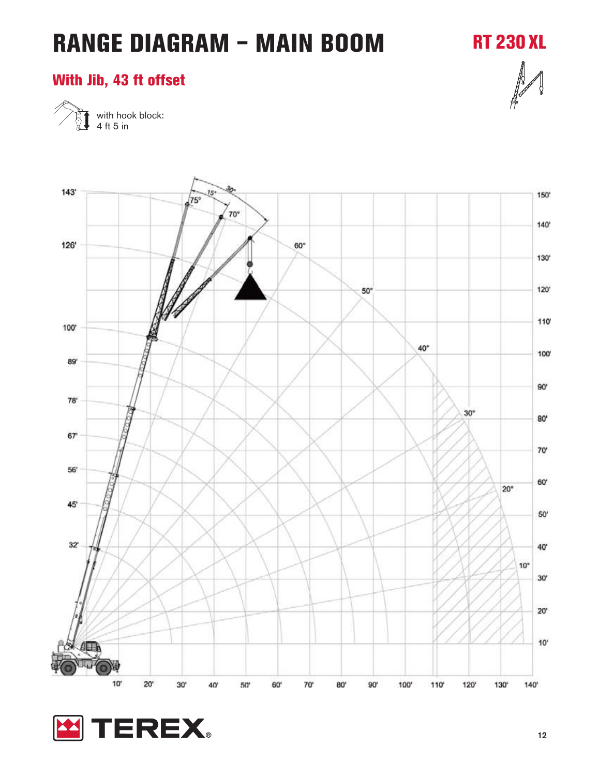**RT 230 XL**

#### **With Jib, 43 ft offset**



with hook block: 4 ft 5 in

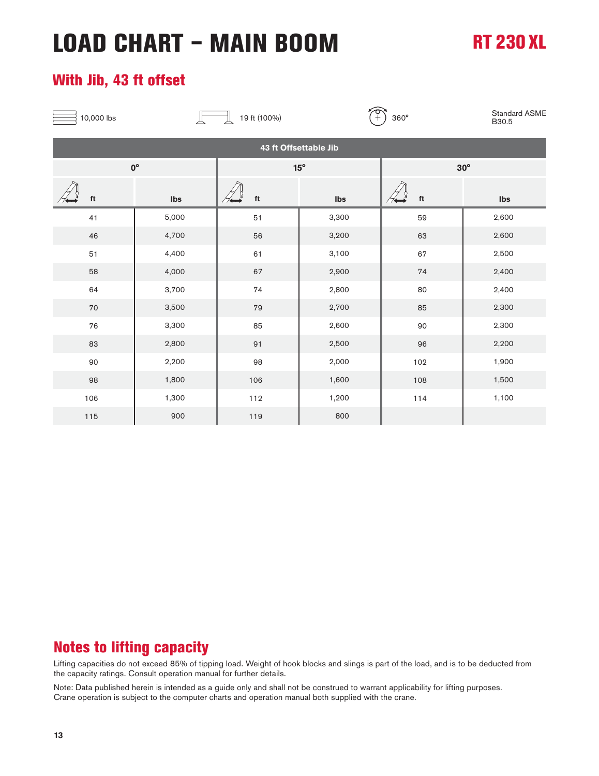# **LOAD CHART – MAIN BOOM RT 230 XL**

#### **With Jib, 43 ft offset**

| 10,000 lbs |                         | 19 ft (100%)                 | $\begin{bmatrix} 1 \ 2 \end{bmatrix}$ | 360°                   | Standard ASME<br>B30.5 |  |  |  |  |
|------------|-------------------------|------------------------------|---------------------------------------|------------------------|------------------------|--|--|--|--|
|            | 43 ft Offsettable Jib   |                              |                                       |                        |                        |  |  |  |  |
|            | $0^{\circ}$             |                              | $15^{\circ}$                          |                        | $30^\circ$             |  |  |  |  |
| ft         | $\mathsf{I}\mathsf{bs}$ | $\operatorname{\mathsf{ft}}$ | Ibs                                   | $\mathop{\mathsf{ft}}$ | Ibs                    |  |  |  |  |
| 41         | 5,000                   | 51                           | 3,300                                 | 59                     | 2,600                  |  |  |  |  |
| 46         | 4,700                   | 56                           | 3,200                                 | 63                     | 2,600                  |  |  |  |  |
| 51         | 4,400                   | 61                           | 3,100                                 | 67                     | 2,500                  |  |  |  |  |
| 58         | 4,000                   | 67                           | 2,900                                 | 74                     | 2,400                  |  |  |  |  |
| 64         | 3,700                   | 74                           | 2,800                                 | 80                     | 2,400                  |  |  |  |  |
| $70\,$     | 3,500                   | 79                           | 2,700                                 | 85                     | 2,300                  |  |  |  |  |
| 76         | 3,300                   | 85                           | 2,600                                 | $90\,$                 | 2,300                  |  |  |  |  |
| 83         | 2,800                   | 91                           | 2,500                                 | 96                     | 2,200                  |  |  |  |  |
| $90\,$     | 2,200                   | 98                           | 2,000                                 | 102                    | 1,900                  |  |  |  |  |
| 98         | 1,800                   | 106                          | 1,600                                 | 108                    | 1,500                  |  |  |  |  |
| 106        | 1,300                   | 112                          | 1,200                                 | 114                    | 1,100                  |  |  |  |  |
| 115        | 900                     | 119                          | 800                                   |                        |                        |  |  |  |  |

#### **Notes to lifting capacity**

Lifting capacities do not exceed 85% of tipping load. Weight of hook blocks and slings is part of the load, and is to be deducted from the capacity ratings. Consult operation manual for further details.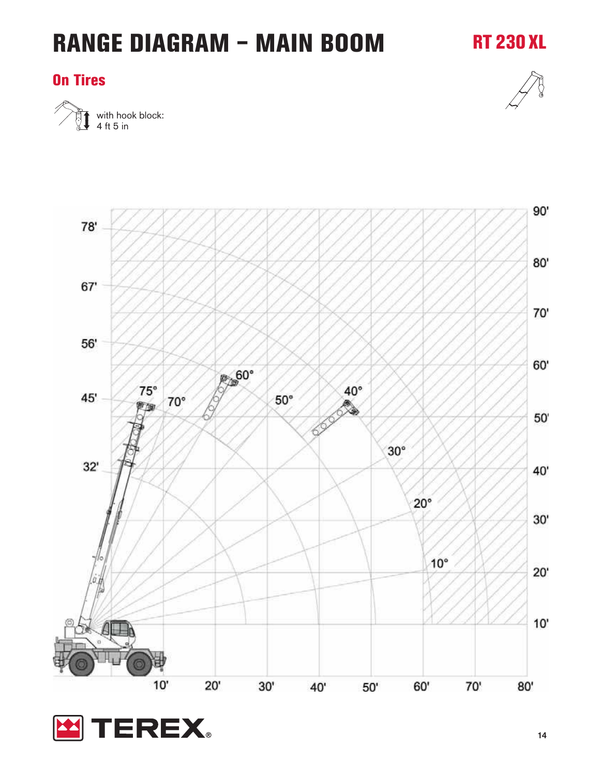#### **On Tires**



**RT 230 XL**



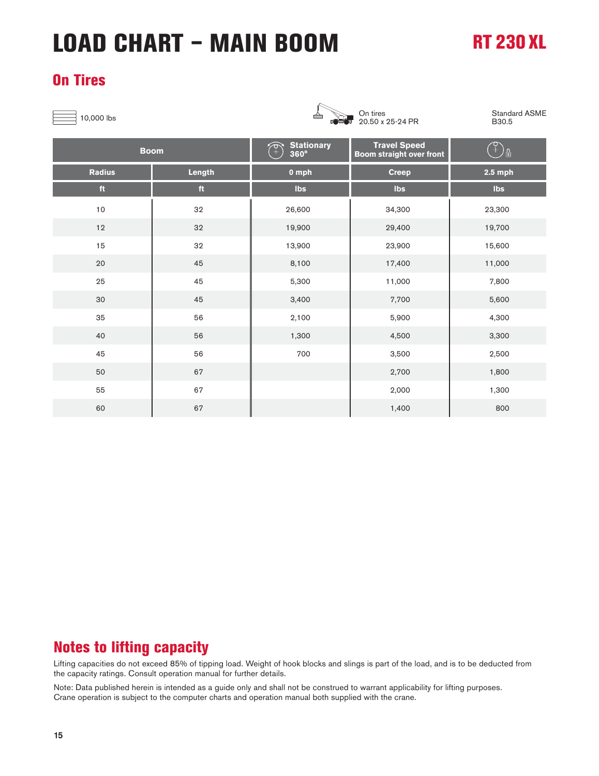# **LOAD CHART – MAIN BOOM**

### **RT 230 XL**

#### **On Tires**

 $\exists$  10,000 lbs  $\triangle$ 



20.50 x 25-24 PR

Standard ASME B30.5

| <b>Boom</b>   |        | <b>Stationary</b><br>$360^\circ$ | <b>Travel Speed</b><br><b>Boom</b> straight over front | ၂၅        |
|---------------|--------|----------------------------------|--------------------------------------------------------|-----------|
| <b>Radius</b> | Length | 0 mph                            | <b>Creep</b>                                           | $2.5$ mph |
| ft            | ft     | Ibs                              | Ibs                                                    | Ibs       |
| 10            | 32     | 26,600                           | 34,300                                                 | 23,300    |
| 12            | 32     | 19,900                           | 29,400                                                 | 19,700    |
| 15            | 32     | 13,900                           | 23,900                                                 | 15,600    |
| 20            | 45     | 8,100                            | 17,400                                                 | 11,000    |
| 25            | 45     | 5,300                            | 11,000                                                 | 7,800     |
| 30            | 45     | 3,400                            | 7,700                                                  | 5,600     |
| 35            | 56     | 2,100                            | 5,900                                                  | 4,300     |
| 40            | 56     | 1,300                            | 4,500                                                  | 3,300     |
| 45            | 56     | 700                              | 3,500                                                  | 2,500     |
| 50            | 67     |                                  | 2,700                                                  | 1,800     |
| 55            | 67     |                                  | 2,000                                                  | 1,300     |
| 60            | 67     |                                  | 1,400                                                  | 800       |

#### **Notes to lifting capacity**

Lifting capacities do not exceed 85% of tipping load. Weight of hook blocks and slings is part of the load, and is to be deducted from the capacity ratings. Consult operation manual for further details.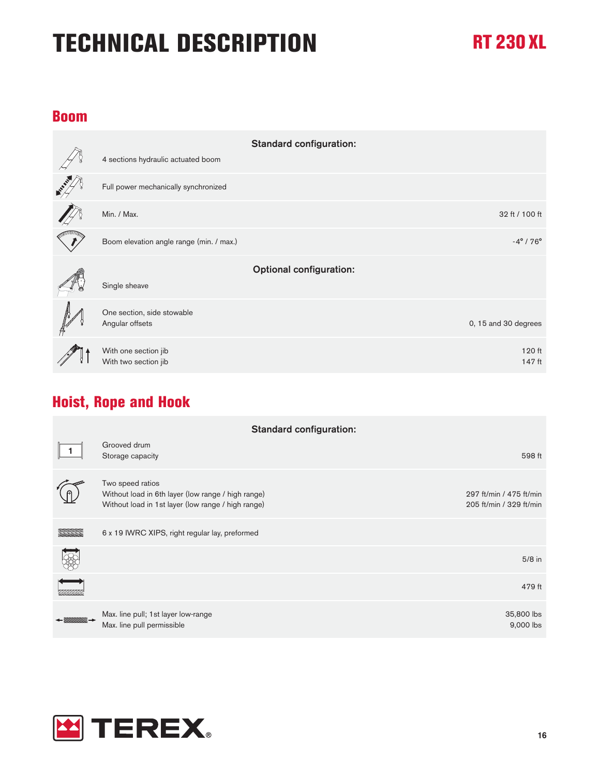#### **Boom**

|                                               | <b>Standard configuration:</b> |
|-----------------------------------------------|--------------------------------|
| 4 sections hydraulic actuated boom            |                                |
| Full power mechanically synchronized          |                                |
| Min. / Max.                                   | 32 ft / 100 ft                 |
| Boom elevation angle range (min. / max.)      | $-4^{\circ}$ / 76 $^{\circ}$   |
|                                               |                                |
|                                               | <b>Optional configuration:</b> |
| Single sheave                                 |                                |
|                                               |                                |
| One section, side stowable<br>Angular offsets | 0, 15 and 30 degrees           |
| With one section jib                          | 120 ft                         |

#### **Hoist, Rope and Hook**

| <b>Standard configuration:</b> |                                                                                                                              |                                                    |
|--------------------------------|------------------------------------------------------------------------------------------------------------------------------|----------------------------------------------------|
|                                | Grooved drum<br>Storage capacity                                                                                             | 598 ft                                             |
|                                | Two speed ratios<br>Without load in 6th layer (low range / high range)<br>Without load in 1st layer (low range / high range) | 297 ft/min / 475 ft/min<br>205 ft/min / 329 ft/min |
|                                | 6 x 19 IWRC XIPS, right regular lay, preformed                                                                               |                                                    |
|                                |                                                                                                                              | $5/8$ in                                           |
|                                |                                                                                                                              | 479 ft                                             |
|                                | Max. line pull; 1st layer low-range<br>Max. line pull permissible                                                            | 35,800 lbs<br>9,000 lbs                            |

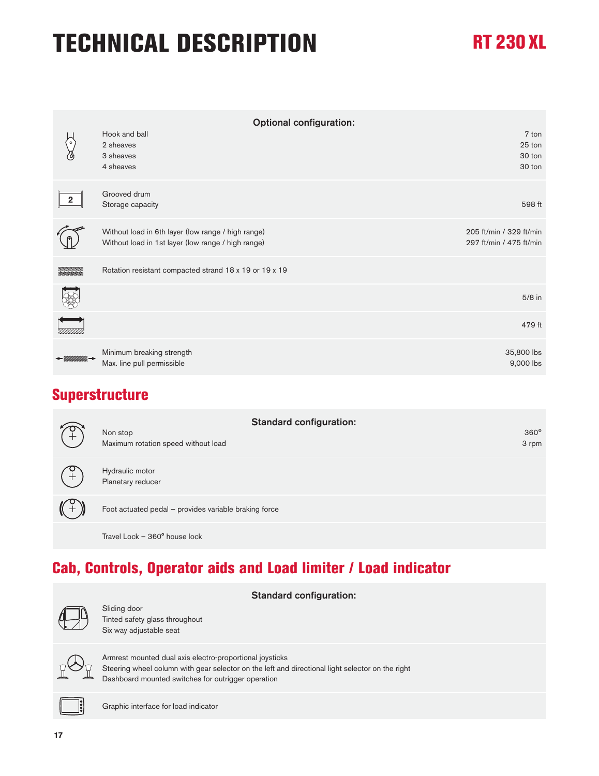| <b>Optional configuration:</b> |                                                                                                          |                                                    |
|--------------------------------|----------------------------------------------------------------------------------------------------------|----------------------------------------------------|
|                                | Hook and ball<br>2 sheaves                                                                               | 7 ton<br>25 ton                                    |
|                                | 3 sheaves<br>4 sheaves                                                                                   | 30 ton<br>30 ton                                   |
| $\overline{\mathbf{2}}$        | Grooved drum<br>Storage capacity                                                                         | 598 ft                                             |
|                                | Without load in 6th layer (low range / high range)<br>Without load in 1st layer (low range / high range) | 205 ft/min / 329 ft/min<br>297 ft/min / 475 ft/min |
|                                | Rotation resistant compacted strand 18 x 19 or 19 x 19                                                   |                                                    |
|                                |                                                                                                          | $5/8$ in                                           |
|                                |                                                                                                          | 479 ft                                             |
|                                | Minimum breaking strength<br>Max. line pull permissible                                                  | 35,800 lbs<br>9,000 lbs                            |

#### **Superstructure**

| $\widetilde{C}^+$ | <b>Standard configuration:</b><br>Non stop<br>Maximum rotation speed without load | $360^\circ$<br>3 rpm |
|-------------------|-----------------------------------------------------------------------------------|----------------------|
|                   | Hydraulic motor<br>Planetary reducer                                              |                      |
|                   | Foot actuated pedal - provides variable braking force                             |                      |
|                   | Travel Lock - 360° house lock                                                     |                      |

### **Cab, Controls, Operator aids and Load limiter / Load indicator**

| <b>Standard configuration:</b>                                                                                                                                                                                     |
|--------------------------------------------------------------------------------------------------------------------------------------------------------------------------------------------------------------------|
| Sliding door<br>Tinted safety glass throughout<br>Six way adjustable seat                                                                                                                                          |
| Armrest mounted dual axis electro-proportional joysticks<br>Steering wheel column with gear selector on the left and directional light selector on the right<br>Dashboard mounted switches for outrigger operation |
| Graphic interface for load indicator                                                                                                                                                                               |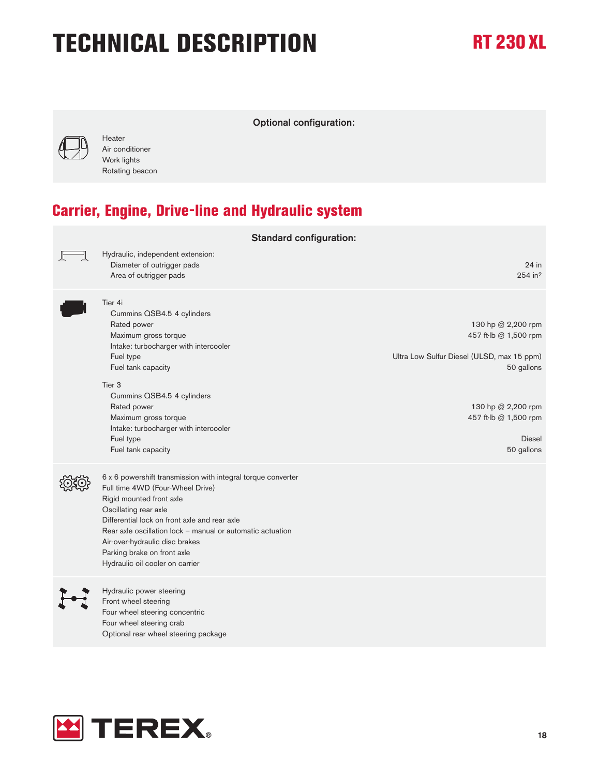

Heater Air conditioner Work lights Rotating beacon Optional configuration:

**Carrier, Engine, Drive-line and Hydraulic system**

| <b>Standard configuration:</b> |                                                                                                                                                                                                                                                                                                                                                                          |                                                                                                                                                                                       |
|--------------------------------|--------------------------------------------------------------------------------------------------------------------------------------------------------------------------------------------------------------------------------------------------------------------------------------------------------------------------------------------------------------------------|---------------------------------------------------------------------------------------------------------------------------------------------------------------------------------------|
|                                | Hydraulic, independent extension:<br>Diameter of outrigger pads<br>Area of outrigger pads                                                                                                                                                                                                                                                                                | 24 in<br>$254$ in <sup>2</sup>                                                                                                                                                        |
|                                | Tier 4i<br>Cummins QSB4.5 4 cylinders<br>Rated power<br>Maximum gross torque<br>Intake: turbocharger with intercooler<br>Fuel type<br>Fuel tank capacity<br>Tier <sub>3</sub><br>Cummins QSB4.5 4 cylinders<br>Rated power<br>Maximum gross torque<br>Intake: turbocharger with intercooler<br>Fuel type<br>Fuel tank capacity                                           | 130 hp @ 2,200 rpm<br>457 ft-lb @ 1,500 rpm<br>Ultra Low Sulfur Diesel (ULSD, max 15 ppm)<br>50 gallons<br>130 hp @ 2,200 rpm<br>457 ft-lb @ 1,500 rpm<br><b>Diesel</b><br>50 gallons |
|                                | 6 x 6 powershift transmission with integral torque converter<br>Full time 4WD (Four-Wheel Drive)<br>Rigid mounted front axle<br>Oscillating rear axle<br>Differential lock on front axle and rear axle<br>Rear axle oscillation lock - manual or automatic actuation<br>Air-over-hydraulic disc brakes<br>Parking brake on front axle<br>Hydraulic oil cooler on carrier |                                                                                                                                                                                       |
|                                | Hydraulic power steering<br>Front wheel steering<br>Four wheel steering concentric<br>Four wheel steering crab<br>Optional rear wheel steering package                                                                                                                                                                                                                   |                                                                                                                                                                                       |

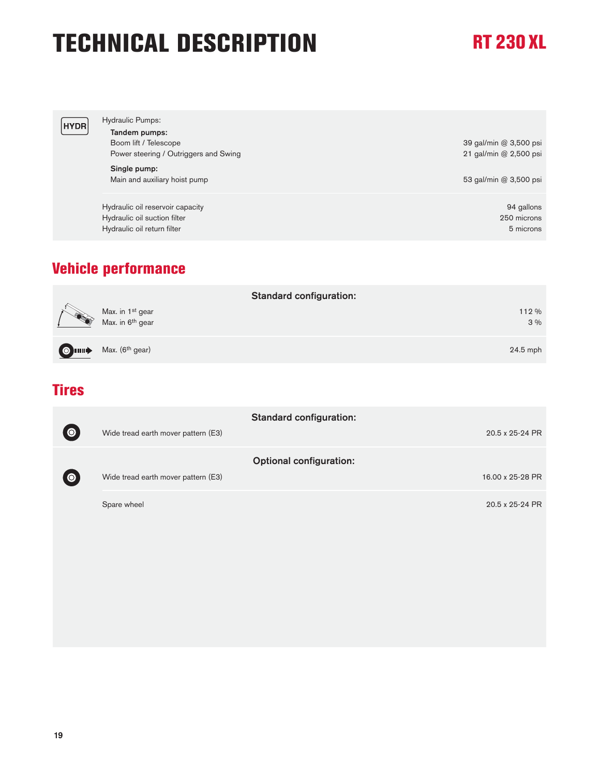| <b>HYDR</b> | <b>Hydraulic Pumps:</b><br>Tandem pumps:<br>Boom lift / Telescope<br>Power steering / Outriggers and Swing | 39 gal/min @ 3,500 psi<br>21 gal/min @ 2,500 psi |
|-------------|------------------------------------------------------------------------------------------------------------|--------------------------------------------------|
|             | Single pump:<br>Main and auxiliary hoist pump                                                              | 53 gal/min @ 3,500 psi                           |
|             | Hydraulic oil reservoir capacity<br>Hydraulic oil suction filter<br>Hydraulic oil return filter            | 94 gallons<br>250 microns<br>5 microns           |

### **Vehicle performance**

|                                                              | <b>Standard configuration:</b> |
|--------------------------------------------------------------|--------------------------------|
| Max. in 1 <sup>st</sup> gear<br>Max. in 6 <sup>th</sup> gear | 112 %<br>3%                    |
| $\bigcirc$ $\Box$ Max. (6 <sup>th</sup> gear)                | $24.5$ mph                     |

#### **Tires**

|           |                                     | <b>Standard configuration:</b> |
|-----------|-------------------------------------|--------------------------------|
| $\bullet$ | Wide tread earth mover pattern (E3) | 20.5 x 25-24 PR                |
|           |                                     | <b>Optional configuration:</b> |
| $\bullet$ | Wide tread earth mover pattern (E3) | 16.00 x 25-28 PR               |
|           | Spare wheel                         | 20.5 x 25-24 PR                |
|           |                                     |                                |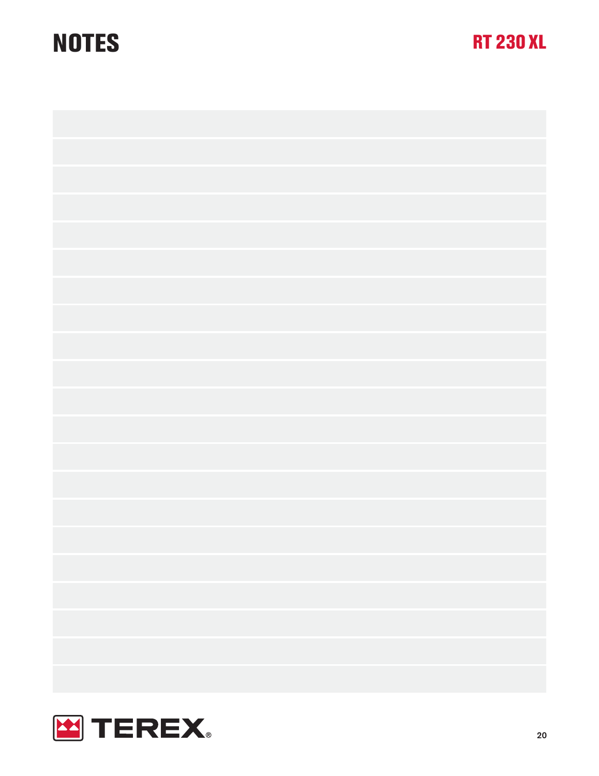# **NOTES RT 230 XL**



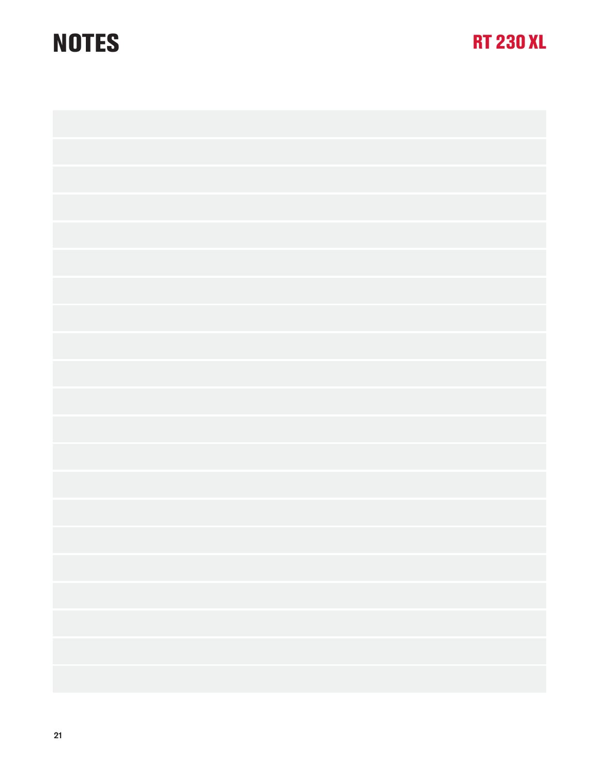# **NOTES RT 230 XL**